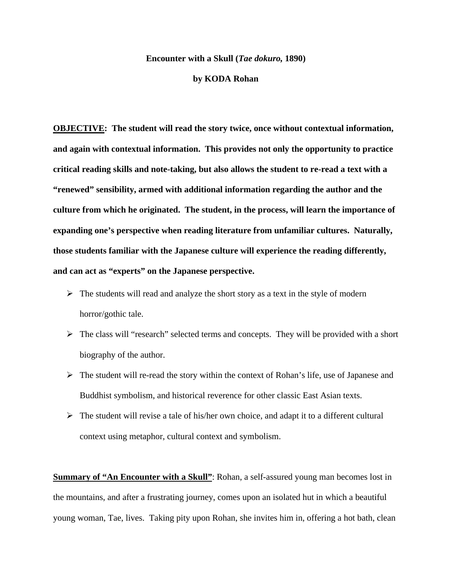#### **Encounter with a Skull (***Tae dokuro,* **1890)**

#### **by KODA Rohan**

**OBJECTIVE: The student will read the story twice, once without contextual information, and again with contextual information. This provides not only the opportunity to practice critical reading skills and note-taking, but also allows the student to re-read a text with a "renewed" sensibility, armed with additional information regarding the author and the culture from which he originated. The student, in the process, will learn the importance of expanding one's perspective when reading literature from unfamiliar cultures. Naturally, those students familiar with the Japanese culture will experience the reading differently, and can act as "experts" on the Japanese perspective.** 

- $\triangleright$  The students will read and analyze the short story as a text in the style of modern horror/gothic tale.
- $\triangleright$  The class will "research" selected terms and concepts. They will be provided with a short biography of the author.
- $\triangleright$  The student will re-read the story within the context of Rohan's life, use of Japanese and Buddhist symbolism, and historical reverence for other classic East Asian texts.
- $\triangleright$  The student will revise a tale of his/her own choice, and adapt it to a different cultural context using metaphor, cultural context and symbolism.

**Summary of "An Encounter with a Skull":** Rohan, a self-assured young man becomes lost in the mountains, and after a frustrating journey, comes upon an isolated hut in which a beautiful young woman, Tae, lives. Taking pity upon Rohan, she invites him in, offering a hot bath, clean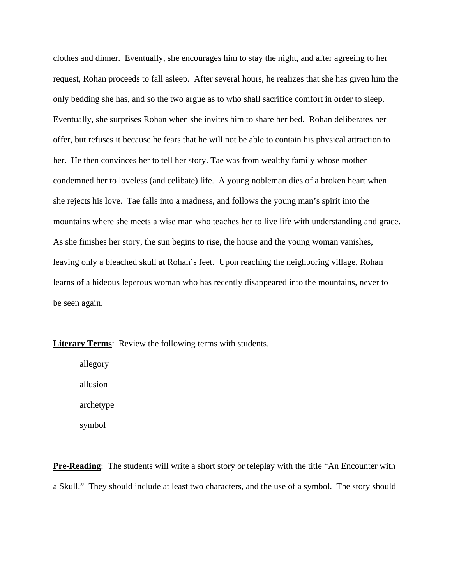clothes and dinner. Eventually, she encourages him to stay the night, and after agreeing to her request, Rohan proceeds to fall asleep. After several hours, he realizes that she has given him the only bedding she has, and so the two argue as to who shall sacrifice comfort in order to sleep. Eventually, she surprises Rohan when she invites him to share her bed. Rohan deliberates her offer, but refuses it because he fears that he will not be able to contain his physical attraction to her. He then convinces her to tell her story. Tae was from wealthy family whose mother condemned her to loveless (and celibate) life. A young nobleman dies of a broken heart when she rejects his love. Tae falls into a madness, and follows the young man's spirit into the mountains where she meets a wise man who teaches her to live life with understanding and grace. As she finishes her story, the sun begins to rise, the house and the young woman vanishes, leaving only a bleached skull at Rohan's feet. Upon reaching the neighboring village, Rohan learns of a hideous leperous woman who has recently disappeared into the mountains, never to be seen again.

**Literary Terms**: Review the following terms with students.

allegory allusion archetype symbol

**Pre-Reading:** The students will write a short story or teleplay with the title "An Encounter with a Skull." They should include at least two characters, and the use of a symbol. The story should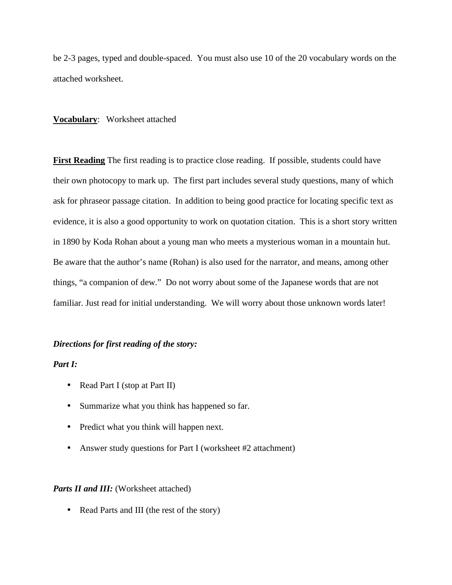be 2-3 pages, typed and double-spaced. You must also use 10 of the 20 vocabulary words on the attached worksheet.

# **Vocabulary**: Worksheet attached

First Reading The first reading is to practice close reading. If possible, students could have their own photocopy to mark up. The first part includes several study questions, many of which ask for phraseor passage citation. In addition to being good practice for locating specific text as evidence, it is also a good opportunity to work on quotation citation. This is a short story written in 1890 by Koda Rohan about a young man who meets a mysterious woman in a mountain hut. Be aware that the author's name (Rohan) is also used for the narrator, and means, among other things, "a companion of dew." Do not worry about some of the Japanese words that are not familiar. Just read for initial understanding. We will worry about those unknown words later!

# *Directions for first reading of the story:*

#### *Part I:*

- Read Part I (stop at Part II)
- Summarize what you think has happened so far.
- Predict what you think will happen next.
- Answer study questions for Part I (worksheet #2 attachment)

# *Parts II and III:* (Worksheet attached)

• Read Parts and III (the rest of the story)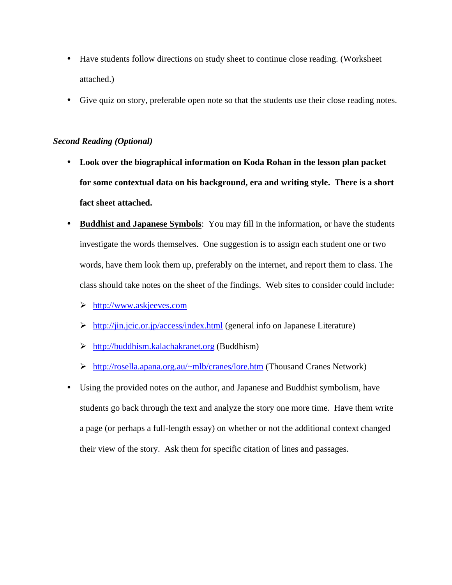- Have students follow directions on study sheet to continue close reading. (Worksheet attached.)
- Give quiz on story, preferable open note so that the students use their close reading notes.

# *Second Reading (Optional)*

- **Look over the biographical information on Koda Rohan in the lesson plan packet for some contextual data on his background, era and writing style. There is a short fact sheet attached.**
- **Buddhist and Japanese Symbols**: You may fill in the information, or have the students investigate the words themselves. One suggestion is to assign each student one or two words, have them look them up, preferably on the internet, and report them to class. The class should take notes on the sheet of the findings. Web sites to consider could include:
	- ÿ http://www.askjeeves.com
	- $\triangleright$  http://jin.jcic.or.jp/access/index.html (general info on Japanese Literature)
	- $\triangleright$  http://buddhism.kalachakranet.org (Buddhism)
	- ÿ http://rosella.apana.org.au/~mlb/cranes/lore.htm (Thousand Cranes Network)
- Using the provided notes on the author, and Japanese and Buddhist symbolism, have students go back through the text and analyze the story one more time. Have them write a page (or perhaps a full-length essay) on whether or not the additional context changed their view of the story. Ask them for specific citation of lines and passages.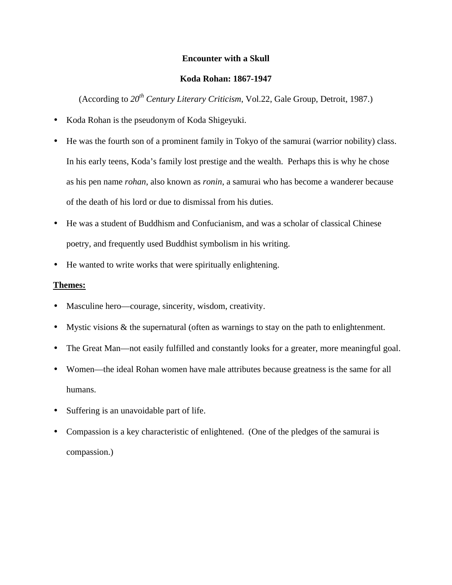# **Encounter with a Skull**

# **Koda Rohan: 1867-1947**

(According to *20th Century Literary Criticism*, Vol.22, Gale Group, Detroit, 1987.)

- Koda Rohan is the pseudonym of Koda Shigeyuki.
- He was the fourth son of a prominent family in Tokyo of the samurai (warrior nobility) class. In his early teens, Koda's family lost prestige and the wealth. Perhaps this is why he chose as his pen name *rohan*, also known as *ronin*, a samurai who has become a wanderer because of the death of his lord or due to dismissal from his duties.
- He was a student of Buddhism and Confucianism, and was a scholar of classical Chinese poetry, and frequently used Buddhist symbolism in his writing.
- He wanted to write works that were spiritually enlightening.

# **Themes:**

- Masculine hero—courage, sincerity, wisdom, creativity.
- Mystic visions  $\&$  the supernatural (often as warnings to stay on the path to enlightenment.
- The Great Man—not easily fulfilled and constantly looks for a greater, more meaningful goal.
- Women—the ideal Rohan women have male attributes because greatness is the same for all humans.
- Suffering is an unavoidable part of life.
- Compassion is a key characteristic of enlightened. (One of the pledges of the samurai is compassion.)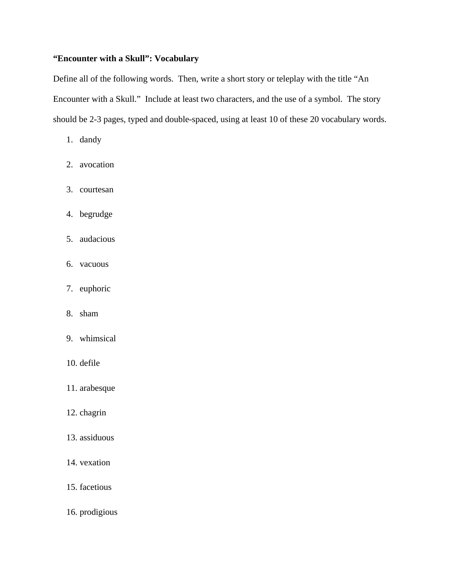# **"Encounter with a Skull": Vocabulary**

Define all of the following words. Then, write a short story or teleplay with the title "An Encounter with a Skull." Include at least two characters, and the use of a symbol. The story should be 2-3 pages, typed and double-spaced, using at least 10 of these 20 vocabulary words.

- 1. dandy
- 2. avocation
- 3. courtesan
- 4. begrudge
- 5. audacious
- 6. vacuous
- 7. euphoric
- 8. sham
- 9. whimsical
- 10. defile
- 11. arabesque
- 12. chagrin
- 13. assiduous
- 14. vexation
- 15. facetious
- 16. prodigious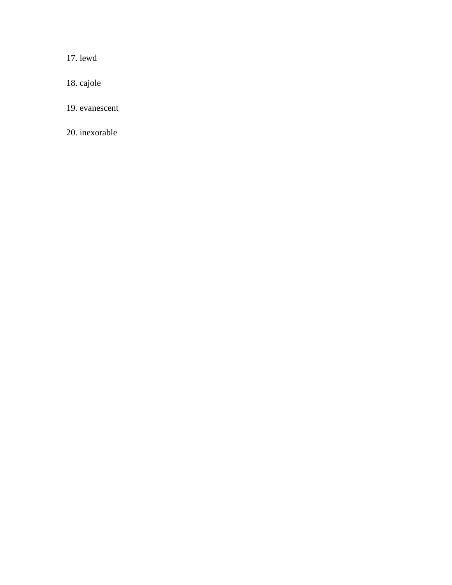17. lewd

18. cajole

19. evanescent

20. inexorable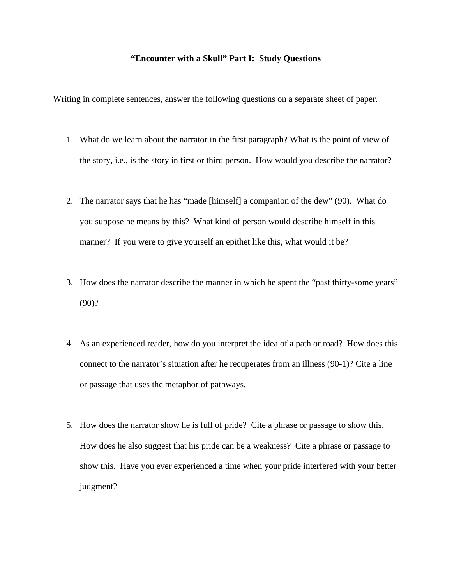#### **"Encounter with a Skull" Part I: Study Questions**

Writing in complete sentences, answer the following questions on a separate sheet of paper.

- 1. What do we learn about the narrator in the first paragraph? What is the point of view of the story, i.e., is the story in first or third person. How would you describe the narrator?
- 2. The narrator says that he has "made [himself] a companion of the dew" (90). What do you suppose he means by this? What kind of person would describe himself in this manner? If you were to give yourself an epithet like this, what would it be?
- 3. How does the narrator describe the manner in which he spent the "past thirty-some years" (90)?
- 4. As an experienced reader, how do you interpret the idea of a path or road? How does this connect to the narrator's situation after he recuperates from an illness (90-1)? Cite a line or passage that uses the metaphor of pathways.
- 5. How does the narrator show he is full of pride? Cite a phrase or passage to show this. How does he also suggest that his pride can be a weakness? Cite a phrase or passage to show this. Have you ever experienced a time when your pride interfered with your better judgment?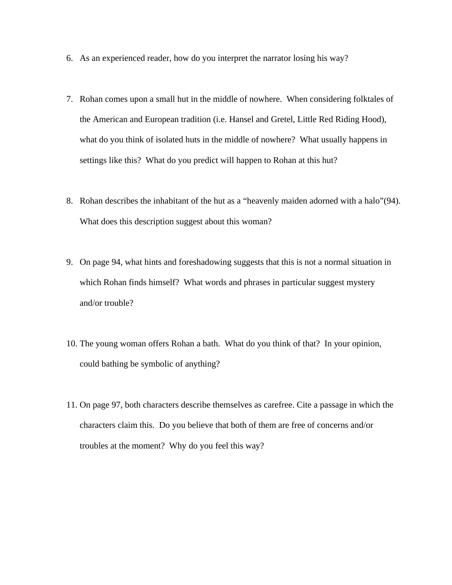- 6. As an experienced reader, how do you interpret the narrator losing his way?
- 7. Rohan comes upon a small hut in the middle of nowhere. When considering folktales of the American and European tradition (i.e. Hansel and Gretel, Little Red Riding Hood), what do you think of isolated huts in the middle of nowhere? What usually happens in settings like this? What do you predict will happen to Rohan at this hut?
- 8. Rohan describes the inhabitant of the hut as a "heavenly maiden adorned with a halo"(94). What does this description suggest about this woman?
- 9. On page 94, what hints and foreshadowing suggests that this is not a normal situation in which Rohan finds himself? What words and phrases in particular suggest mystery and/or trouble?
- 10. The young woman offers Rohan a bath. What do you think of that? In your opinion, could bathing be symbolic of anything?
- 11. On page 97, both characters describe themselves as carefree. Cite a passage in which the characters claim this. Do you believe that both of them are free of concerns and/or troubles at the moment? Why do you feel this way?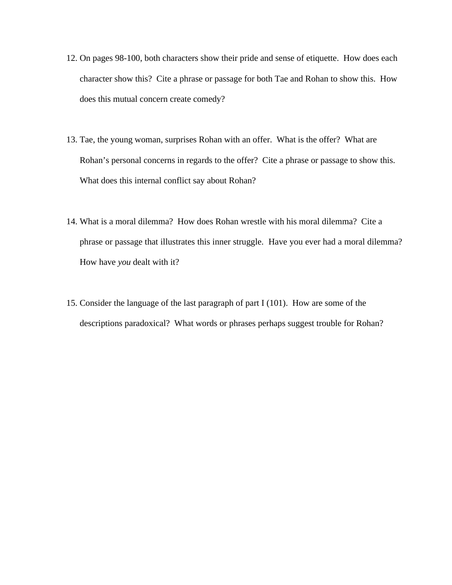- 12. On pages 98-100, both characters show their pride and sense of etiquette. How does each character show this? Cite a phrase or passage for both Tae and Rohan to show this. How does this mutual concern create comedy?
- 13. Tae, the young woman, surprises Rohan with an offer. What is the offer? What are Rohan's personal concerns in regards to the offer? Cite a phrase or passage to show this. What does this internal conflict say about Rohan?
- 14. What is a moral dilemma? How does Rohan wrestle with his moral dilemma? Cite a phrase or passage that illustrates this inner struggle. Have you ever had a moral dilemma? How have *you* dealt with it?
- 15. Consider the language of the last paragraph of part I (101). How are some of the descriptions paradoxical? What words or phrases perhaps suggest trouble for Rohan?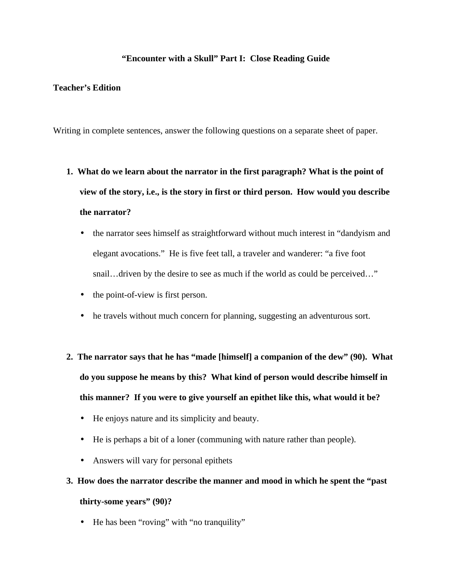# **"Encounter with a Skull" Part I: Close Reading Guide**

# **Teacher's Edition**

Writing in complete sentences, answer the following questions on a separate sheet of paper.

- **1. What do we learn about the narrator in the first paragraph? What is the point of view of the story, i.e., is the story in first or third person. How would you describe the narrator?**
	- the narrator sees himself as straightforward without much interest in "dandyism and elegant avocations." He is five feet tall, a traveler and wanderer: "a five foot snail...driven by the desire to see as much if the world as could be perceived..."
	- the point-of-view is first person.
	- he travels without much concern for planning, suggesting an adventurous sort.
- **2. The narrator says that he has "made [himself] a companion of the dew" (90). What do you suppose he means by this? What kind of person would describe himself in this manner? If you were to give yourself an epithet like this, what would it be?**
	- He enjoys nature and its simplicity and beauty.
	- He is perhaps a bit of a loner (communing with nature rather than people).
	- Answers will vary for personal epithets

# **3. How does the narrator describe the manner and mood in which he spent the "past thirty-some years" (90)?**

• He has been "roving" with "no tranquility"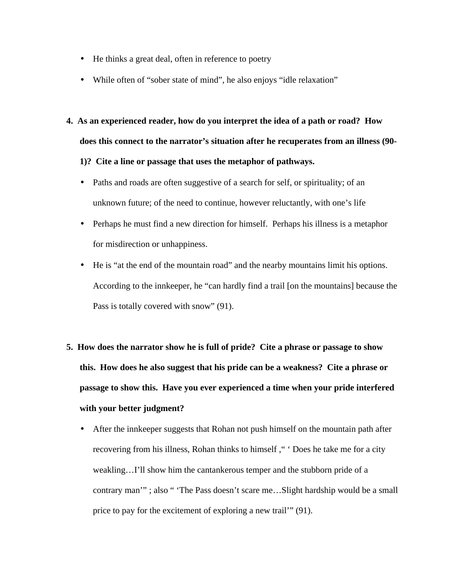- He thinks a great deal, often in reference to poetry
- While often of "sober state of mind", he also enjoys "idle relaxation"
- **4. As an experienced reader, how do you interpret the idea of a path or road? How does this connect to the narrator's situation after he recuperates from an illness (90- 1)? Cite a line or passage that uses the metaphor of pathways.**
	- Paths and roads are often suggestive of a search for self, or spirituality; of an unknown future; of the need to continue, however reluctantly, with one's life
	- Perhaps he must find a new direction for himself. Perhaps his illness is a metaphor for misdirection or unhappiness.
	- He is "at the end of the mountain road" and the nearby mountains limit his options. According to the innkeeper, he "can hardly find a trail [on the mountains] because the Pass is totally covered with snow" (91).
- **5. How does the narrator show he is full of pride? Cite a phrase or passage to show this. How does he also suggest that his pride can be a weakness? Cite a phrase or passage to show this. Have you ever experienced a time when your pride interfered with your better judgment?**
	- After the innkeeper suggests that Rohan not push himself on the mountain path after recovering from his illness, Rohan thinks to himself ," ' Does he take me for a city weakling…I'll show him the cantankerous temper and the stubborn pride of a contrary man'"; also " 'The Pass doesn't scare me...Slight hardship would be a small price to pay for the excitement of exploring a new trail'" (91).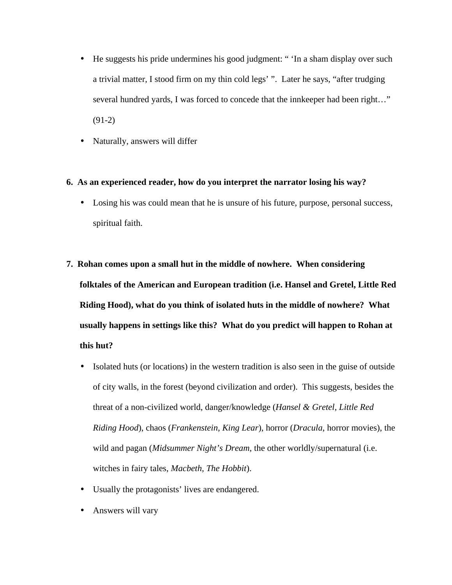- He suggests his pride undermines his good judgment: " 'In a sham display over such a trivial matter, I stood firm on my thin cold legs' ". Later he says, "after trudging several hundred yards, I was forced to concede that the innkeeper had been right…" (91-2)
- Naturally, answers will differ

# **6. As an experienced reader, how do you interpret the narrator losing his way?**

- Losing his was could mean that he is unsure of his future, purpose, personal success, spiritual faith.
- **7. Rohan comes upon a small hut in the middle of nowhere. When considering folktales of the American and European tradition (i.e. Hansel and Gretel, Little Red Riding Hood), what do you think of isolated huts in the middle of nowhere? What usually happens in settings like this? What do you predict will happen to Rohan at this hut?**
	- Isolated huts (or locations) in the western tradition is also seen in the guise of outside of city walls, in the forest (beyond civilization and order). This suggests, besides the threat of a non-civilized world, danger/knowledge (*Hansel & Gretel*, *Little Red Riding Hood*), chaos (*Frankenstein, King Lear*), horror (*Dracula*, horror movies), the wild and pagan (*Midsummer Night's Dream*, the other worldly/supernatural (i.e. witches in fairy tales, *Macbeth, The Hobbit*).
	- Usually the protagonists' lives are endangered.
	- Answers will vary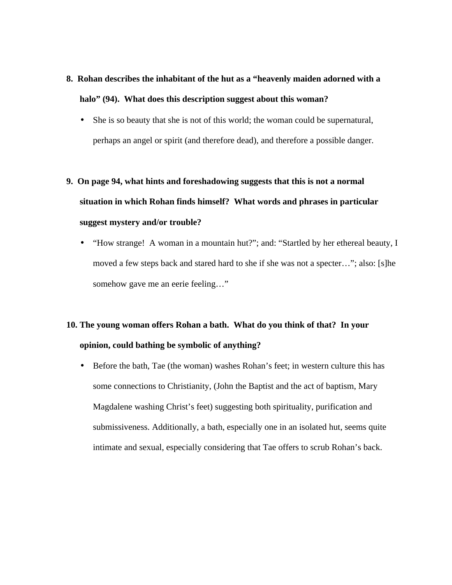# **8. Rohan describes the inhabitant of the hut as a "heavenly maiden adorned with a halo" (94). What does this description suggest about this woman?**

- She is so beauty that she is not of this world; the woman could be supernatural, perhaps an angel or spirit (and therefore dead), and therefore a possible danger.
- **9. On page 94, what hints and foreshadowing suggests that this is not a normal situation in which Rohan finds himself? What words and phrases in particular suggest mystery and/or trouble?**
	- "How strange! A woman in a mountain hut?"; and: "Startled by her ethereal beauty, I moved a few steps back and stared hard to she if she was not a specter…"; also: [s]he somehow gave me an eerie feeling..."

# **10. The young woman offers Rohan a bath. What do you think of that? In your opinion, could bathing be symbolic of anything?**

• Before the bath, Tae (the woman) washes Rohan's feet; in western culture this has some connections to Christianity, (John the Baptist and the act of baptism, Mary Magdalene washing Christ's feet) suggesting both spirituality, purification and submissiveness. Additionally, a bath, especially one in an isolated hut, seems quite intimate and sexual, especially considering that Tae offers to scrub Rohan's back.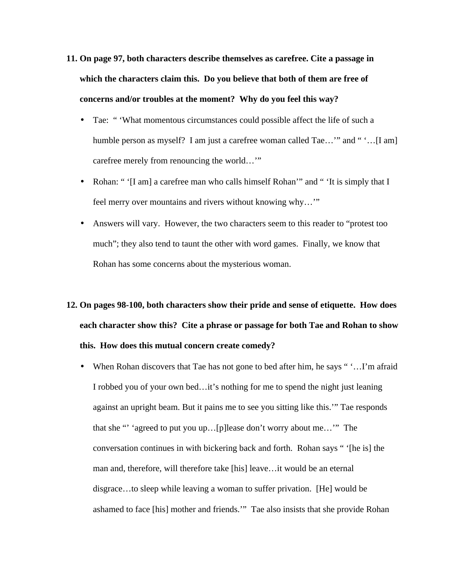- **11. On page 97, both characters describe themselves as carefree. Cite a passage in which the characters claim this. Do you believe that both of them are free of concerns and/or troubles at the moment? Why do you feel this way?**
	- Tae: " 'What momentous circumstances could possible affect the life of such a humble person as myself? I am just a carefree woman called Tae..." and " '...[I am] carefree merely from renouncing the world…'"
	- Rohan: " '[I am] a carefree man who calls himself Rohan'" and " 'It is simply that I feel merry over mountains and rivers without knowing why…'"
	- Answers will vary. However, the two characters seem to this reader to "protest too much"; they also tend to taunt the other with word games. Finally, we know that Rohan has some concerns about the mysterious woman.

# **12. On pages 98-100, both characters show their pride and sense of etiquette. How does each character show this? Cite a phrase or passage for both Tae and Rohan to show this. How does this mutual concern create comedy?**

• When Rohan discovers that Tae has not gone to bed after him, he says ""...I'm afraid I robbed you of your own bed…it's nothing for me to spend the night just leaning against an upright beam. But it pains me to see you sitting like this.'" Tae responds that she "' 'agreed to put you up…[p]lease don't worry about me…'" The conversation continues in with bickering back and forth. Rohan says " '[he is] the man and, therefore, will therefore take [his] leave…it would be an eternal disgrace…to sleep while leaving a woman to suffer privation. [He] would be ashamed to face [his] mother and friends.'" Tae also insists that she provide Rohan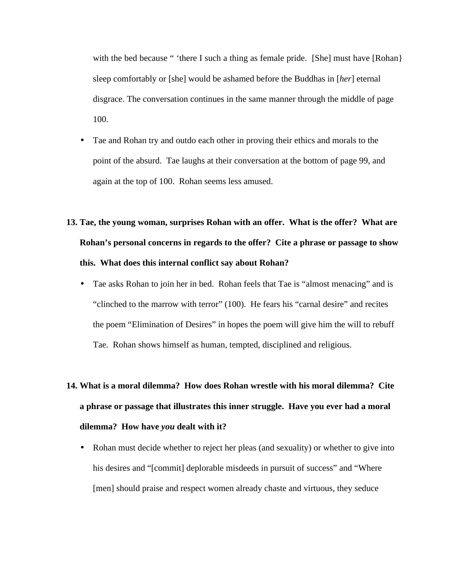with the bed because " 'there I such a thing as female pride. [She] must have [Rohan] sleep comfortably or [she] would be ashamed before the Buddhas in [*her*] eternal disgrace. The conversation continues in the same manner through the middle of page 100.

• Tae and Rohan try and outdo each other in proving their ethics and morals to the point of the absurd. Tae laughs at their conversation at the bottom of page 99, and again at the top of 100. Rohan seems less amused.

# **13. Tae, the young woman, surprises Rohan with an offer. What is the offer? What are Rohan's personal concerns in regards to the offer? Cite a phrase or passage to show this. What does this internal conflict say about Rohan?**

• Tae asks Rohan to join her in bed. Rohan feels that Tae is "almost menacing" and is "clinched to the marrow with terror" (100). He fears his "carnal desire" and recites the poem "Elimination of Desires" in hopes the poem will give him the will to rebuff Tae. Rohan shows himself as human, tempted, disciplined and religious.

# **14. What is a moral dilemma? How does Rohan wrestle with his moral dilemma? Cite a phrase or passage that illustrates this inner struggle. Have you ever had a moral dilemma? How have** *you* **dealt with it?**

• Rohan must decide whether to reject her pleas (and sexuality) or whether to give into his desires and "[commit] deplorable misdeeds in pursuit of success" and "Where [men] should praise and respect women already chaste and virtuous, they seduce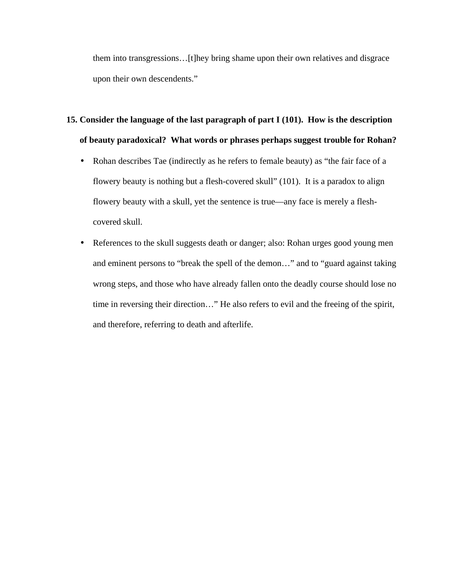them into transgressions…[t]hey bring shame upon their own relatives and disgrace upon their own descendents."

# **15. Consider the language of the last paragraph of part I (101). How is the description of beauty paradoxical? What words or phrases perhaps suggest trouble for Rohan?**

- Rohan describes Tae (indirectly as he refers to female beauty) as "the fair face of a flowery beauty is nothing but a flesh-covered skull" (101). It is a paradox to align flowery beauty with a skull, yet the sentence is true—any face is merely a fleshcovered skull.
- References to the skull suggests death or danger; also: Rohan urges good young men and eminent persons to "break the spell of the demon…" and to "guard against taking wrong steps, and those who have already fallen onto the deadly course should lose no time in reversing their direction…" He also refers to evil and the freeing of the spirit, and therefore, referring to death and afterlife.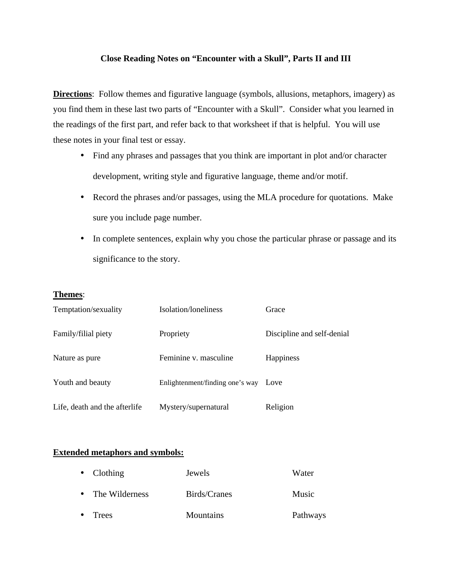# **Close Reading Notes on "Encounter with a Skull", Parts II and III**

**Directions**: Follow themes and figurative language (symbols, allusions, metaphors, imagery) as you find them in these last two parts of "Encounter with a Skull". Consider what you learned in the readings of the first part, and refer back to that worksheet if that is helpful. You will use these notes in your final test or essay.

- Find any phrases and passages that you think are important in plot and/or character development, writing style and figurative language, theme and/or motif.
- Record the phrases and/or passages, using the MLA procedure for quotations. Make sure you include page number.
- In complete sentences, explain why you chose the particular phrase or passage and its significance to the story.

# **Themes**:

| Temptation/sexuality          | Isolation/loneliness            | Grace                      |
|-------------------------------|---------------------------------|----------------------------|
| Family/filial piety           | Propriety                       | Discipline and self-denial |
| Nature as pure                | Feminine v. masculine           | Happiness                  |
| Youth and beauty              | Enlightenment/finding one's way | Love                       |
| Life, death and the afterlife | Mystery/supernatural            | Religion                   |

# **Extended metaphors and symbols:**

| $\bullet$ | Trees              | Mountains    | Pathways |
|-----------|--------------------|--------------|----------|
|           | • The Wilderness   | Birds/Cranes | Music    |
|           | $\bullet$ Clothing | Jewels       | Water    |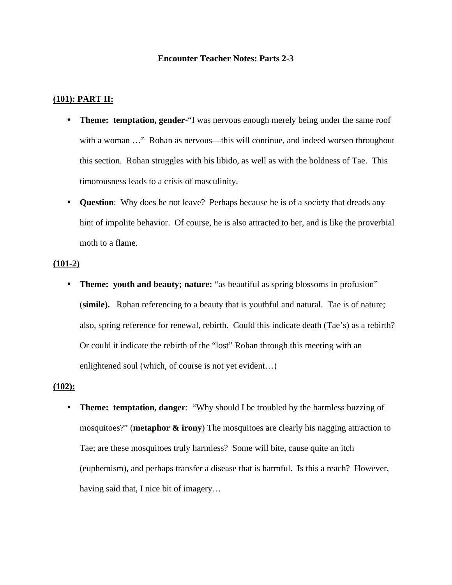#### **Encounter Teacher Notes: Parts 2-3**

## **(101): PART II:**

- **Theme: temptation, gender-**"I was nervous enough merely being under the same roof with a woman ..." Rohan as nervous—this will continue, and indeed worsen throughout this section. Rohan struggles with his libido, as well as with the boldness of Tae. This timorousness leads to a crisis of masculinity.
- **Question**: Why does he not leave? Perhaps because he is of a society that dreads any hint of impolite behavior. Of course, he is also attracted to her, and is like the proverbial moth to a flame.

## **(101-2)**

• **Theme: youth and beauty; nature:** "as beautiful as spring blossoms in profusion" (**simile).** Rohan referencing to a beauty that is youthful and natural. Tae is of nature; also, spring reference for renewal, rebirth. Could this indicate death (Tae's) as a rebirth? Or could it indicate the rebirth of the "lost" Rohan through this meeting with an enlightened soul (which, of course is not yet evident…)

#### **(102):**

• **Theme: temptation, danger**: "Why should I be troubled by the harmless buzzing of mosquitoes?" (**metaphor & irony**) The mosquitoes are clearly his nagging attraction to Tae; are these mosquitoes truly harmless? Some will bite, cause quite an itch (euphemism), and perhaps transfer a disease that is harmful. Is this a reach? However, having said that, I nice bit of imagery…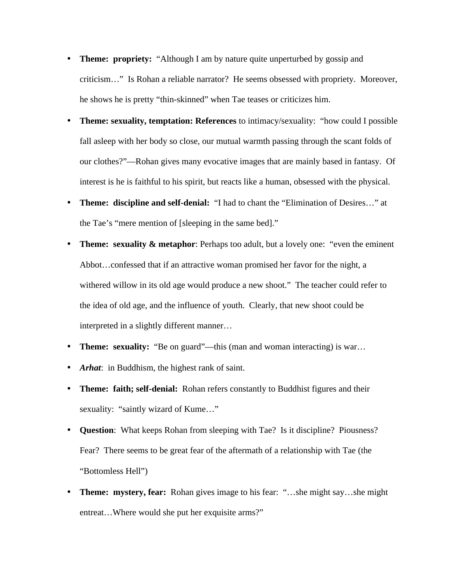- **Theme: propriety:** "Although I am by nature quite unperturbed by gossip and criticism…" Is Rohan a reliable narrator? He seems obsessed with propriety. Moreover, he shows he is pretty "thin-skinned" when Tae teases or criticizes him.
- **Theme: sexuality, temptation: References** to intimacy/sexuality: "how could I possible fall asleep with her body so close, our mutual warmth passing through the scant folds of our clothes?"—Rohan gives many evocative images that are mainly based in fantasy. Of interest is he is faithful to his spirit, but reacts like a human, obsessed with the physical.
- **Theme: discipline and self-denial:** "I had to chant the "Elimination of Desires…" at the Tae's "mere mention of [sleeping in the same bed]."
- **Theme: sexuality & metaphor:** Perhaps too adult, but a lovely one: "even the eminent" Abbot…confessed that if an attractive woman promised her favor for the night, a withered willow in its old age would produce a new shoot." The teacher could refer to the idea of old age, and the influence of youth. Clearly, that new shoot could be interpreted in a slightly different manner…
- **Theme: sexuality:** "Be on guard"—this (man and woman interacting) is war...
- *Arhat*: in Buddhism, the highest rank of saint.
- **Theme: faith; self-denial:** Rohan refers constantly to Buddhist figures and their sexuality: "saintly wizard of Kume..."
- **Question**: What keeps Rohan from sleeping with Tae? Is it discipline? Piousness? Fear? There seems to be great fear of the aftermath of a relationship with Tae (the "Bottomless Hell")
- **Theme: mystery, fear:** Rohan gives image to his fear: "...she might say...she might entreat…Where would she put her exquisite arms?"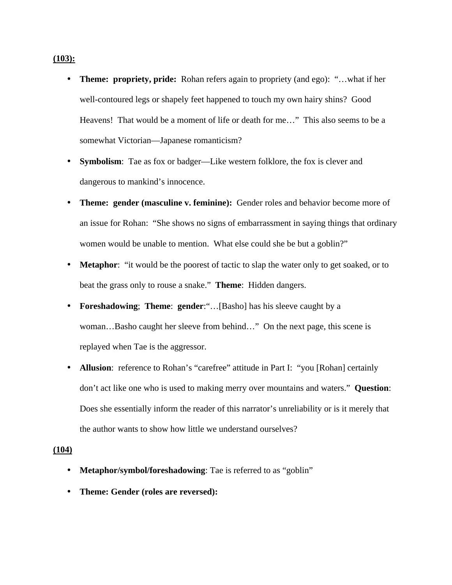### **(103):**

- **Theme: propriety, pride:** Rohan refers again to propriety (and ego): "…what if her well-contoured legs or shapely feet happened to touch my own hairy shins? Good Heavens! That would be a moment of life or death for me…" This also seems to be a somewhat Victorian—Japanese romanticism?
- **Symbolism**: Tae as fox or badger—Like western folklore, the fox is clever and dangerous to mankind's innocence.
- **Theme: gender (masculine v. feminine):** Gender roles and behavior become more of an issue for Rohan: "She shows no signs of embarrassment in saying things that ordinary women would be unable to mention. What else could she be but a goblin?"
- **Metaphor**: "it would be the poorest of tactic to slap the water only to get soaked, or to beat the grass only to rouse a snake." **Theme**: Hidden dangers.
- **Foreshadowing**; **Theme**: **gender**:"…[Basho] has his sleeve caught by a woman…Basho caught her sleeve from behind…" On the next page, this scene is replayed when Tae is the aggressor.
- **Allusion**: reference to Rohan's "carefree" attitude in Part I: "you [Rohan] certainly don't act like one who is used to making merry over mountains and waters." **Question**: Does she essentially inform the reader of this narrator's unreliability or is it merely that the author wants to show how little we understand ourselves?

#### **(104)**

- **Metaphor/symbol/foreshadowing**: Tae is referred to as "goblin"
- **Theme: Gender (roles are reversed):**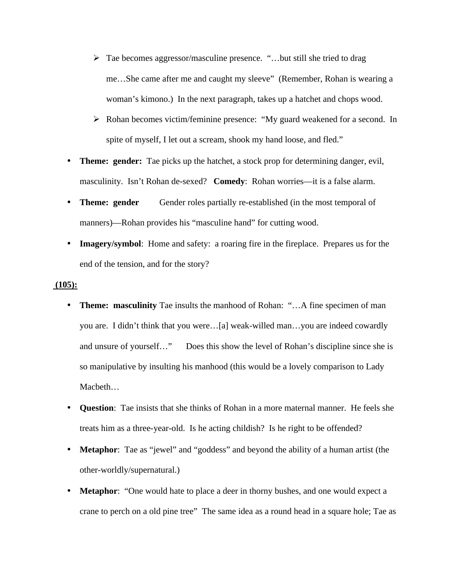- ÿ Tae becomes aggressor/masculine presence. "…but still she tried to drag me…She came after me and caught my sleeve" (Remember, Rohan is wearing a woman's kimono.) In the next paragraph, takes up a hatchet and chops wood.
- ÿ Rohan becomes victim/feminine presence: "My guard weakened for a second. In spite of myself, I let out a scream, shook my hand loose, and fled."
- **Theme: gender:** Tae picks up the hatchet, a stock prop for determining danger, evil, masculinity. Isn't Rohan de-sexed? **Comedy**: Rohan worries—it is a false alarm.
- **Theme: gender** Gender roles partially re-established (in the most temporal of manners)—Rohan provides his "masculine hand" for cutting wood.
- **Imagery/symbol:** Home and safety: a roaring fire in the fireplace. Prepares us for the end of the tension, and for the story?

# **(105):**

- **Theme: masculinity** Tae insults the manhood of Rohan: "...A fine specimen of man you are. I didn't think that you were…[a] weak-willed man…you are indeed cowardly and unsure of yourself…" Does this show the level of Rohan's discipline since she is so manipulative by insulting his manhood (this would be a lovely comparison to Lady Macbeth…
- **Question**: Tae insists that she thinks of Rohan in a more maternal manner. He feels she treats him as a three-year-old. Is he acting childish? Is he right to be offended?
- **Metaphor**: Tae as "jewel" and "goddess" and beyond the ability of a human artist (the other-worldly/supernatural.)
- **Metaphor:** "One would hate to place a deer in thorny bushes, and one would expect a crane to perch on a old pine tree" The same idea as a round head in a square hole; Tae as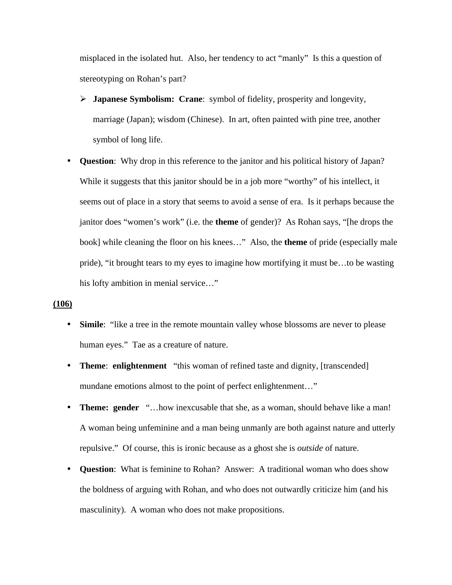misplaced in the isolated hut. Also, her tendency to act "manly" Is this a question of stereotyping on Rohan's part?

- ÿ **Japanese Symbolism: Crane**: symbol of fidelity, prosperity and longevity, marriage (Japan); wisdom (Chinese). In art, often painted with pine tree, another symbol of long life.
- **Question**: Why drop in this reference to the janitor and his political history of Japan? While it suggests that this janitor should be in a job more "worthy" of his intellect, it seems out of place in a story that seems to avoid a sense of era. Is it perhaps because the janitor does "women's work" (i.e. the **theme** of gender)? As Rohan says, "[he drops the book] while cleaning the floor on his knees…" Also, the **theme** of pride (especially male pride), "it brought tears to my eyes to imagine how mortifying it must be…to be wasting his lofty ambition in menial service…"

# **(106)**

- **Simile**: "like a tree in the remote mountain valley whose blossoms are never to please human eyes." Tae as a creature of nature.
- **Theme**: **enlightenment** "this woman of refined taste and dignity, [transcended] mundane emotions almost to the point of perfect enlightenment…"
- **Theme: gender** "...how inexcusable that she, as a woman, should behave like a man! A woman being unfeminine and a man being unmanly are both against nature and utterly repulsive." Of course, this is ironic because as a ghost she is *outside* of nature.
- **Question**: What is feminine to Rohan? Answer: A traditional woman who does show the boldness of arguing with Rohan, and who does not outwardly criticize him (and his masculinity). A woman who does not make propositions.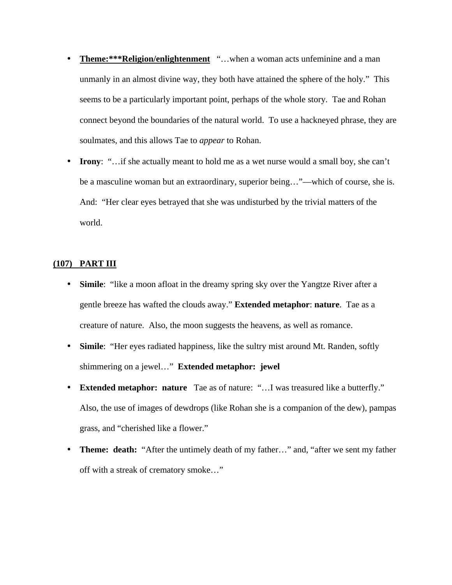- **Theme:\*\*\*Religion/enlightenment** "…when a woman acts unfeminine and a man unmanly in an almost divine way, they both have attained the sphere of the holy." This seems to be a particularly important point, perhaps of the whole story. Tae and Rohan connect beyond the boundaries of the natural world. To use a hackneyed phrase, they are soulmates, and this allows Tae to *appear* to Rohan.
- **Irony**: "...if she actually meant to hold me as a wet nurse would a small boy, she can't be a masculine woman but an extraordinary, superior being…"—which of course, she is. And: "Her clear eyes betrayed that she was undisturbed by the trivial matters of the world.

# **(107) PART III**

- **Simile**: "like a moon afloat in the dreamy spring sky over the Yangtze River after a gentle breeze has wafted the clouds away." **Extended metaphor**: **nature**. Tae as a creature of nature. Also, the moon suggests the heavens, as well as romance.
- **Simile**: "Her eyes radiated happiness, like the sultry mist around Mt. Randen, softly shimmering on a jewel…" **Extended metaphor: jewel**
- **Extended metaphor: nature** Tae as of nature: "…I was treasured like a butterfly." Also, the use of images of dewdrops (like Rohan she is a companion of the dew), pampas grass, and "cherished like a flower."
- **Theme: death:** "After the untimely death of my father…" and, "after we sent my father off with a streak of crematory smoke…"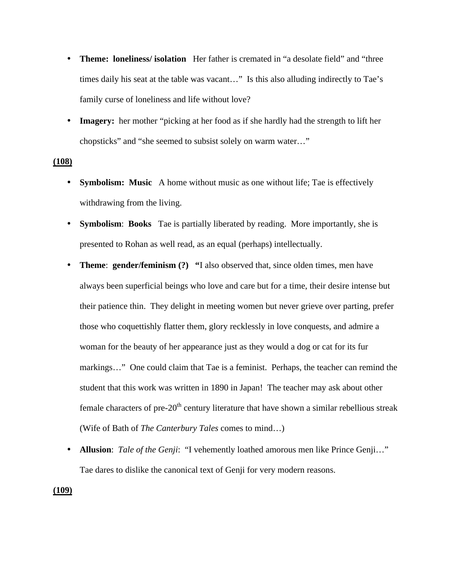- **Theme: loneliness/ isolation** Her father is cremated in "a desolate field" and "three times daily his seat at the table was vacant…" Is this also alluding indirectly to Tae's family curse of loneliness and life without love?
- **Imagery:** her mother "picking at her food as if she hardly had the strength to lift her chopsticks" and "she seemed to subsist solely on warm water…"

# **(108)**

- **Symbolism: Music** A home without music as one without life; Tae is effectively withdrawing from the living.
- **Symbolism:** Books Tae is partially liberated by reading. More importantly, she is presented to Rohan as well read, as an equal (perhaps) intellectually.
- **Theme: gender/feminism (?)** "I also observed that, since olden times, men have always been superficial beings who love and care but for a time, their desire intense but their patience thin. They delight in meeting women but never grieve over parting, prefer those who coquettishly flatter them, glory recklessly in love conquests, and admire a woman for the beauty of her appearance just as they would a dog or cat for its fur markings…" One could claim that Tae is a feminist. Perhaps, the teacher can remind the student that this work was written in 1890 in Japan! The teacher may ask about other female characters of pre- $20<sup>th</sup>$  century literature that have shown a similar rebellious streak (Wife of Bath of *The Canterbury Tales* comes to mind…)
- **Allusion**: *Tale of the Genji*: "I vehemently loathed amorous men like Prince Genji…" Tae dares to dislike the canonical text of Genji for very modern reasons.

**(109)**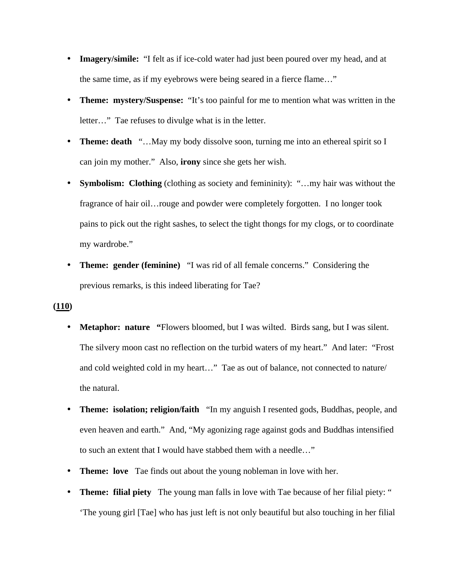- **Imagery/simile:** "I felt as if ice-cold water had just been poured over my head, and at the same time, as if my eyebrows were being seared in a fierce flame…"
- **Theme: mystery/Suspense:** "It's too painful for me to mention what was written in the letter…" Tae refuses to divulge what is in the letter.
- **Theme: death** "…May my body dissolve soon, turning me into an ethereal spirit so I can join my mother." Also, **irony** since she gets her wish.
- **Symbolism: Clothing** (clothing as society and femininity): "...my hair was without the fragrance of hair oil…rouge and powder were completely forgotten. I no longer took pains to pick out the right sashes, to select the tight thongs for my clogs, or to coordinate my wardrobe."
- **Theme: gender (feminine)** "I was rid of all female concerns."Considering the previous remarks, is this indeed liberating for Tae?

# **(110)**

- **Metaphor: nature** "Flowers bloomed, but I was wilted. Birds sang, but I was silent. The silvery moon cast no reflection on the turbid waters of my heart." And later: "Frost and cold weighted cold in my heart…" Tae as out of balance, not connected to nature/ the natural.
- **Theme: isolation; religion/faith** "In my anguish I resented gods, Buddhas, people, and even heaven and earth." And, "My agonizing rage against gods and Buddhas intensified to such an extent that I would have stabbed them with a needle…"
- **Theme: love** Tae finds out about the young nobleman in love with her.
- **Theme: filial piety** The young man falls in love with Tae because of her filial piety: " 'The young girl [Tae] who has just left is not only beautiful but also touching in her filial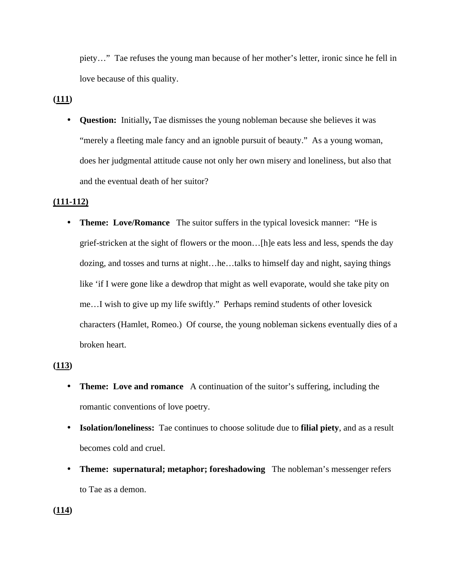piety…"Tae refuses the young man because of her mother's letter, ironic since he fell in love because of this quality.

**(111)**

• **Question:** Initially, Tae dismisses the young nobleman because she believes it was "merely a fleeting male fancy and an ignoble pursuit of beauty." As a young woman, does her judgmental attitude cause not only her own misery and loneliness, but also that and the eventual death of her suitor?

# **(111-112)**

• **Theme: Love/Romance** The suitor suffers in the typical lovesick manner: "He is grief-stricken at the sight of flowers or the moon…[h]e eats less and less, spends the day dozing, and tosses and turns at night…he…talks to himself day and night, saying things like 'if I were gone like a dewdrop that might as well evaporate, would she take pity on me…I wish to give up my life swiftly." Perhaps remind students of other lovesick characters (Hamlet, Romeo.) Of course, the young nobleman sickens eventually dies of a broken heart.

# **(113)**

- **Theme: Love and romance** A continuation of the suitor's suffering, including the romantic conventions of love poetry.
- **Isolation/loneliness:** Tae continues to choose solitude due to **filial piety**, and as a result becomes cold and cruel.
- **Theme: supernatural; metaphor; foreshadowing** The nobleman's messenger refers to Tae as a demon.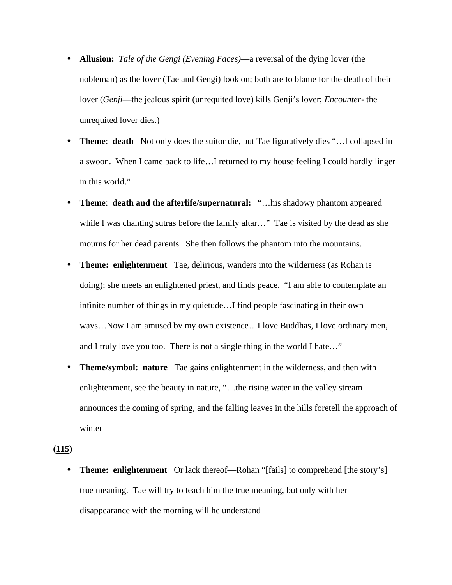- **Allusion:** *Tale of the Gengi (Evening Faces)*—a reversal of the dying lover (the nobleman) as the lover (Tae and Gengi) look on; both are to blame for the death of their lover (*Genji*—the jealous spirit (unrequited love) kills Genji's lover; *Encounter*- the unrequited lover dies.)
- **Theme: death** Not only does the suitor die, but Tae figuratively dies "... I collapsed in a swoon. When I came back to life…I returned to my house feeling I could hardly linger in this world."
- **Theme**: **death and the afterlife/supernatural:** "…his shadowy phantom appeared while I was chanting sutras before the family altar..." Tae is visited by the dead as she mourns for her dead parents. She then follows the phantom into the mountains.
- **Theme: enlightenment** Tae, delirious, wanders into the wilderness (as Rohan is doing); she meets an enlightened priest, and finds peace. "I am able to contemplate an infinite number of things in my quietude…I find people fascinating in their own ways…Now I am amused by my own existence…I love Buddhas, I love ordinary men, and I truly love you too. There is not a single thing in the world I hate…"
- **Theme/symbol: nature** Tae gains enlightenment in the wilderness, and then with enlightenment, see the beauty in nature, "…the rising water in the valley stream announces the coming of spring, and the falling leaves in the hills foretell the approach of winter

# **(115)**

• **Theme: enlightenment** Or lack thereof—Rohan "[fails] to comprehend [the story's] true meaning. Tae will try to teach him the true meaning, but only with her disappearance with the morning will he understand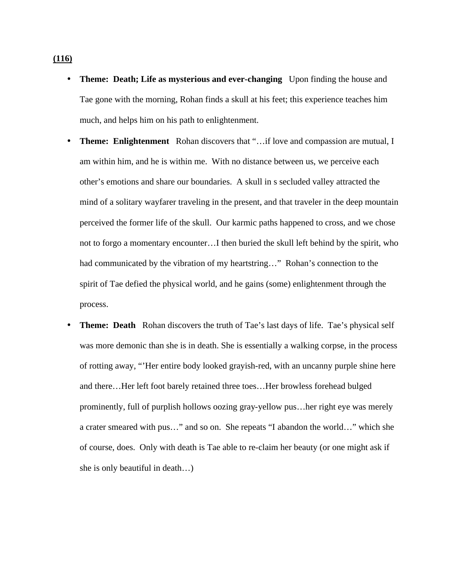- **Theme: Death; Life as mysterious and ever-changing** Upon finding the house and Tae gone with the morning, Rohan finds a skull at his feet; this experience teaches him much, and helps him on his path to enlightenment.
- **Theme: Enlightenment** Rohan discovers that "...if love and compassion are mutual, I am within him, and he is within me. With no distance between us, we perceive each other's emotions and share our boundaries. A skull in s secluded valley attracted the mind of a solitary wayfarer traveling in the present, and that traveler in the deep mountain perceived the former life of the skull. Our karmic paths happened to cross, and we chose not to forgo a momentary encounter…I then buried the skull left behind by the spirit, who had communicated by the vibration of my heartstring…" Rohan's connection to the spirit of Tae defied the physical world, and he gains (some) enlightenment through the process.
- **Theme: Death** Rohan discovers the truth of Tae's last days of life. Tae's physical self was more demonic than she is in death. She is essentially a walking corpse, in the process of rotting away, "'Her entire body looked grayish-red, with an uncanny purple shine here and there…Her left foot barely retained three toes…Her browless forehead bulged prominently, full of purplish hollows oozing gray-yellow pus…her right eye was merely a crater smeared with pus…" and so on. She repeats "I abandon the world…" which she of course, does. Only with death is Tae able to re-claim her beauty (or one might ask if she is only beautiful in death…)

#### **(116)**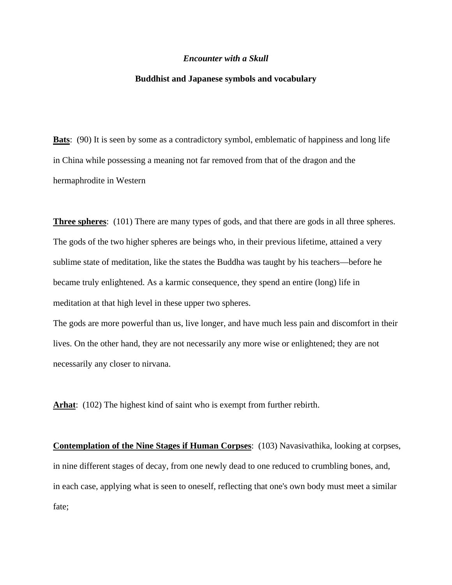#### *Encounter with a Skull*

#### **Buddhist and Japanese symbols and vocabulary**

**Bats**: (90) It is seen by some as a contradictory symbol, emblematic of happiness and long life in China while possessing a meaning not far removed from that of the dragon and the hermaphrodite in Western

**Three spheres**: (101) There are many types of gods, and that there are gods in all three spheres. The gods of the two higher spheres are beings who, in their previous lifetime, attained a very sublime state of meditation, like the states the Buddha was taught by his teachers—before he became truly enlightened. As a karmic consequence, they spend an entire (long) life in meditation at that high level in these upper two spheres.

The gods are more powerful than us, live longer, and have much less pain and discomfort in their lives. On the other hand, they are not necessarily any more wise or enlightened; they are not necessarily any closer to nirvana.

**Arhat**: (102) The highest kind of saint who is exempt from further rebirth.

**Contemplation of the Nine Stages if Human Corpses**: (103) Navasivathika, looking at corpses, in nine different stages of decay, from one newly dead to one reduced to crumbling bones, and, in each case, applying what is seen to oneself, reflecting that one's own body must meet a similar fate;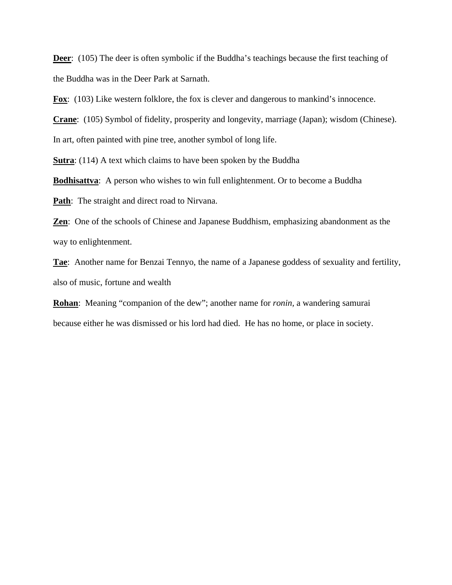**Deer**: (105) The deer is often symbolic if the Buddha's teachings because the first teaching of the Buddha was in the Deer Park at Sarnath.

**Fox**: (103) Like western folklore, the fox is clever and dangerous to mankind's innocence.

**Crane**: (105) Symbol of fidelity, prosperity and longevity, marriage (Japan); wisdom (Chinese).

In art, often painted with pine tree, another symbol of long life.

**Sutra**: (114) A text which claims to have been spoken by the Buddha

**Bodhisattva**: A person who wishes to win full enlightenment. Or to become a Buddha

**Path**: The straight and direct road to Nirvana.

**Zen**: One of the schools of Chinese and Japanese Buddhism, emphasizing abandonment as the way to enlightenment.

**Tae**: Another name for Benzai Tennyo, the name of a Japanese goddess of sexuality and fertility, also of music, fortune and wealth

**Rohan**: Meaning "companion of the dew"; another name for *ronin,* a wandering samurai because either he was dismissed or his lord had died. He has no home, or place in society.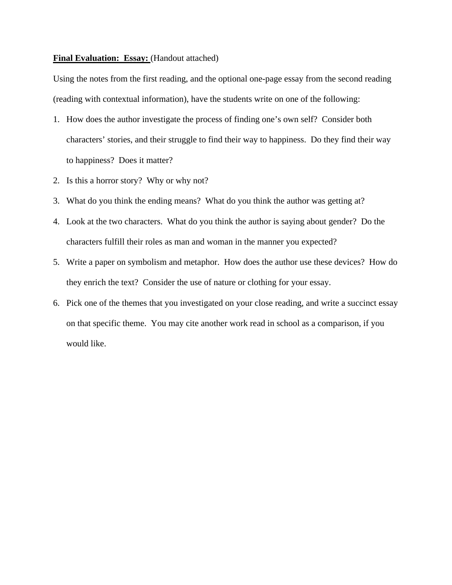## **Final Evaluation: Essay:** (Handout attached)

Using the notes from the first reading, and the optional one-page essay from the second reading (reading with contextual information), have the students write on one of the following:

- 1. How does the author investigate the process of finding one's own self? Consider both characters' stories, and their struggle to find their way to happiness. Do they find their way to happiness? Does it matter?
- 2. Is this a horror story? Why or why not?
- 3. What do you think the ending means? What do you think the author was getting at?
- 4. Look at the two characters. What do you think the author is saying about gender? Do the characters fulfill their roles as man and woman in the manner you expected?
- 5. Write a paper on symbolism and metaphor. How does the author use these devices? How do they enrich the text? Consider the use of nature or clothing for your essay.
- 6. Pick one of the themes that you investigated on your close reading, and write a succinct essay on that specific theme. You may cite another work read in school as a comparison, if you would like.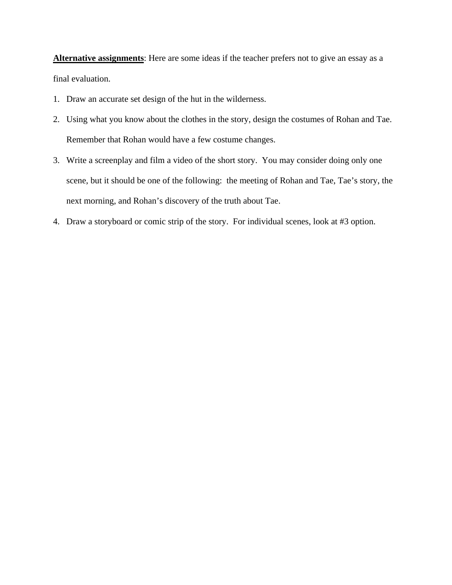**Alternative assignments**: Here are some ideas if the teacher prefers not to give an essay as a final evaluation.

- 1. Draw an accurate set design of the hut in the wilderness.
- 2. Using what you know about the clothes in the story, design the costumes of Rohan and Tae. Remember that Rohan would have a few costume changes.
- 3. Write a screenplay and film a video of the short story. You may consider doing only one scene, but it should be one of the following: the meeting of Rohan and Tae, Tae's story, the next morning, and Rohan's discovery of the truth about Tae.
- 4. Draw a storyboard or comic strip of the story. For individual scenes, look at #3 option.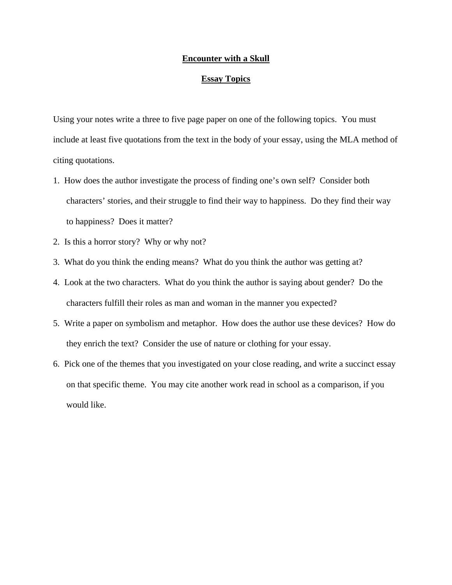# **Encounter with a Skull**

# **Essay Topics**

Using your notes write a three to five page paper on one of the following topics. You must include at least five quotations from the text in the body of your essay, using the MLA method of citing quotations.

- 1. How does the author investigate the process of finding one's own self? Consider both characters' stories, and their struggle to find their way to happiness. Do they find their way to happiness? Does it matter?
- 2. Is this a horror story? Why or why not?
- 3. What do you think the ending means? What do you think the author was getting at?
- 4. Look at the two characters. What do you think the author is saying about gender? Do the characters fulfill their roles as man and woman in the manner you expected?
- 5. Write a paper on symbolism and metaphor. How does the author use these devices? How do they enrich the text? Consider the use of nature or clothing for your essay.
- 6. Pick one of the themes that you investigated on your close reading, and write a succinct essay on that specific theme. You may cite another work read in school as a comparison, if you would like.